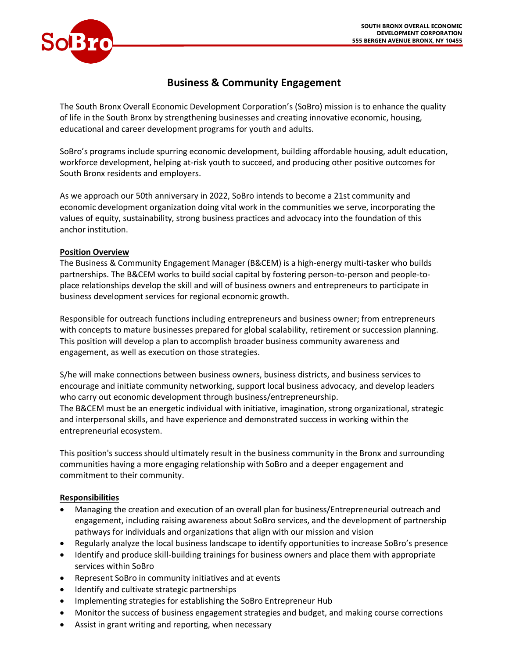

# **Business & Community Engagement**

The South Bronx Overall Economic Development Corporation's (SoBro) mission is to enhance the quality of life in the South Bronx by strengthening businesses and creating innovative economic, housing, educational and career development programs for youth and adults.

SoBro's programs include spurring economic development, building affordable housing, adult education, workforce development, helping at-risk youth to succeed, and producing other positive outcomes for South Bronx residents and employers.

As we approach our 50th anniversary in 2022, SoBro intends to become a 21st community and economic development organization doing vital work in the communities we serve, incorporating the values of equity, sustainability, strong business practices and advocacy into the foundation of this anchor institution.

## **Position Overview**

The Business & Community Engagement Manager (B&CEM) is a high-energy multi-tasker who builds partnerships. The B&CEM works to build social capital by fostering person-to-person and people-toplace relationships develop the skill and will of business owners and entrepreneurs to participate in business development services for regional economic growth.

Responsible for outreach functions including entrepreneurs and business owner; from entrepreneurs with concepts to mature businesses prepared for global scalability, retirement or succession planning. This position will develop a plan to accomplish broader business community awareness and engagement, as well as execution on those strategies.

S/he will make connections between business owners, business districts, and business services to encourage and initiate community networking, support local business advocacy, and develop leaders who carry out economic development through business/entrepreneurship. The B&CEM must be an energetic individual with initiative, imagination, strong organizational, strategic and interpersonal skills, and have experience and demonstrated success in working within the entrepreneurial ecosystem.

This position's success should ultimately result in the business community in the Bronx and surrounding communities having a more engaging relationship with SoBro and a deeper engagement and commitment to their community.

# **Responsibilities**

- Managing the creation and execution of an overall plan for business/Entrepreneurial outreach and engagement, including raising awareness about SoBro services, and the development of partnership pathways for individuals and organizations that align with our mission and vision
- Regularly analyze the local business landscape to identify opportunities to increase SoBro's presence
- Identify and produce skill-building trainings for business owners and place them with appropriate services within SoBro
- Represent SoBro in community initiatives and at events
- Identify and cultivate strategic partnerships
- Implementing strategies for establishing the SoBro Entrepreneur Hub
- Monitor the success of business engagement strategies and budget, and making course corrections
- Assist in grant writing and reporting, when necessary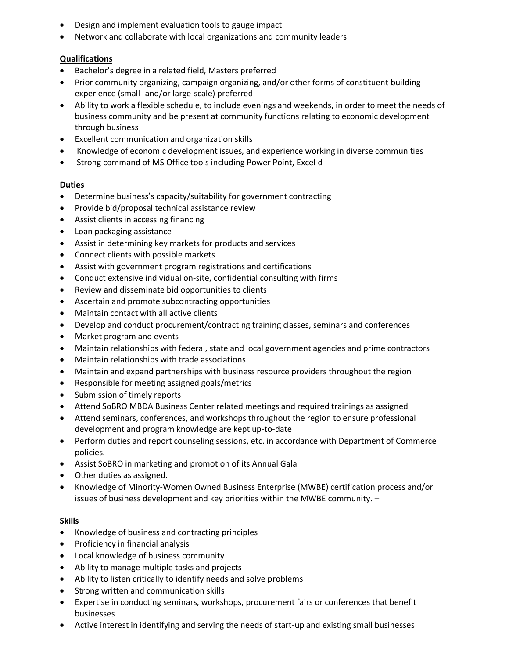- Design and implement evaluation tools to gauge impact
- Network and collaborate with local organizations and community leaders

## **Qualifications**

- Bachelor's degree in a related field, Masters preferred
- Prior community organizing, campaign organizing, and/or other forms of constituent building experience (small- and/or large-scale) preferred
- Ability to work a flexible schedule, to include evenings and weekends, in order to meet the needs of business community and be present at community functions relating to economic development through business
- Excellent communication and organization skills
- Knowledge of economic development issues, and experience working in diverse communities
- Strong command of MS Office tools including Power Point, Excel d

#### **Duties**

- Determine business's capacity/suitability for government contracting
- Provide bid/proposal technical assistance review
- Assist clients in accessing financing
- Loan packaging assistance
- Assist in determining key markets for products and services
- Connect clients with possible markets
- Assist with government program registrations and certifications
- Conduct extensive individual on-site, confidential consulting with firms
- Review and disseminate bid opportunities to clients
- Ascertain and promote subcontracting opportunities
- Maintain contact with all active clients
- Develop and conduct procurement/contracting training classes, seminars and conferences
- Market program and events
- Maintain relationships with federal, state and local government agencies and prime contractors
- Maintain relationships with trade associations
- Maintain and expand partnerships with business resource providers throughout the region
- Responsible for meeting assigned goals/metrics
- Submission of timely reports
- Attend SoBRO MBDA Business Center related meetings and required trainings as assigned
- Attend seminars, conferences, and workshops throughout the region to ensure professional development and program knowledge are kept up-to-date
- Perform duties and report counseling sessions, etc. in accordance with Department of Commerce policies.
- Assist SoBRO in marketing and promotion of its Annual Gala
- Other duties as assigned.
- Knowledge of Minority-Women Owned Business Enterprise (MWBE) certification process and/or issues of business development and key priorities within the MWBE community. –

#### **Skills**

- Knowledge of business and contracting principles
- Proficiency in financial analysis
- Local knowledge of business community
- Ability to manage multiple tasks and projects
- Ability to listen critically to identify needs and solve problems
- Strong written and communication skills
- Expertise in conducting seminars, workshops, procurement fairs or conferences that benefit businesses
- Active interest in identifying and serving the needs of start-up and existing small businesses